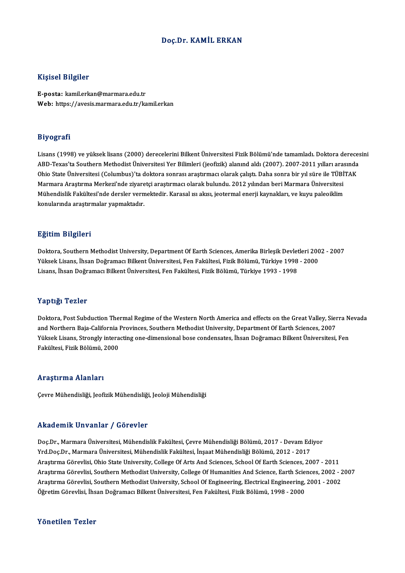## Doç.Dr. KAMİL ERKAN

## Kişisel Bilgiler

E-posta: kamil.erkan@marmara.edu.tr Web: https://avesis.marmara.edu.tr/kamil.erkan

## Biyografi

Bi**yografi**<br>Lisans (1998) ve yüksek lisans (2000) derecelerini Bilkent Üniversitesi Fizik Bölümü'nde tamamladı. Doktora derecesini<br>APD Tavas'ta Southern Methodist Üniversitesi Ver Bilimleri (jeofizik) alanınd aldı (2007), 21, 5g. ar.<br>Lisans (1998) ve yüksek lisans (2000) derecelerini Bilkent Üniversitesi Fizik Bölümü'nde tamamladı. Doktora dereces<br>ABD-Texas'ta Southern Methodist Üniversitesi Yer Bilimleri (jeofizik) alanınd aldı (2007). 200 Lisans (1998) ve yüksek lisans (2000) derecelerini Bilkent Üniversitesi Fizik Bölümü'nde tamamladı. Doktora derece<br>ABD-Texas'ta Southern Methodist Üniversitesi Yer Bilimleri (jeofizik) alanınd aldı (2007). 2007-2011 yıllar ABD-Texas'ta Southern Methodist Üniversitesi Yer Bilimleri (jeofizik) alanınd aldı (2007). 2007-2011 yılları aras<br>Ohio State Üniversitesi (Columbus)'ta doktora sonrası araştırmacı olarak çalıştı. Daha sonra bir yıl süre il Ohio State Üniversitesi (Columbus)'ta doktora sonrası araştırmacı olarak çalıştı. Daha sonra bir yıl süre ile TÜBİ'<br>Marmara Araştırma Merkezi'nde ziyaretçi araştırmacı olarak bulundu. 2012 yılından beri Marmara Üniversites Marmara Araştırma Merkezi'nde ziyaretçi araştırmacı olarak bulundu. 2012 yılından beri Marmara Üniversitesi<br>Mühendislik Fakültesi'nde dersler vermektedir. Karasal ısı akısı, jeotermal enerji kaynakları, ve kuyu paleoiklim<br>

## Eğitim Bilgileri

**Eğitim Bilgileri**<br>Doktora, Southern Methodist University, Department Of Earth Sciences, Amerika Birleşik Devletleri 2002 - 2007<br>Yükaek Lisana, İbaan Değramacı Bilkent Üniversitesi, Een Fekültesi, Eirik Bölümü, Türkiye 199 1911.<br>Doktora, Southern Methodist University, Department Of Earth Sciences, Amerika Birleşik Devletleri 200<br>Yüksek Lisans, İhsan Doğramacı Bilkent Üniversitesi, Fen Fakültesi, Fizik Bölümü, Türkiye 1998 - 2000<br>Lisans, İhsa Doktora, Southern Methodist University, Department Of Earth Sciences, Amerika Birleşik Devlet<br>Yüksek Lisans, İhsan Doğramacı Bilkent Üniversitesi, Fen Fakültesi, Fizik Bölümü, Türkiye 1998<br>Lisans, İhsan Doğramacı Bilkent Ü Lisans, İhsan Doğramacı Bilkent Üniversitesi, Fen Fakültesi, Fizik Bölümü, Türkiye 1993 - 1998<br>Yaptığı Tezler

Doktora, Post Subduction Thermal Regime of the Western North America and effects on the Great Valley, Sierra Nevada and Northern Baja-California Provinces, Southern Methodist University, Department Of Earth Sciences, 2007 Doktora, Post Subduction Thermal Regime of the Western North America and effects on the Great Valley, Sierra N<br>and Northern Baja-California Provinces, Southern Methodist University, Department Of Earth Sciences, 2007<br>Yükse and Northern Baja-California |<br>Yüksek Lisans, Strongly intera<br>Fakültesi, Fizik Bölümü, 2000 Fakültesi, Fizik Bölümü, 2000<br>Araştırma Alanları

Çevre Mühendisliği, Jeofizik Mühendisliği, Jeoloji Mühendisliği

### Akademik Unvanlar / Görevler

Akademik Unvanlar / Görevler<br>Doç.Dr., Marmara Üniversitesi, Mühendislik Fakültesi, Çevre Mühendisliği Bölümü, 2017 - Devam Ediyor<br>Yrd Doc.Dr., Marmara Üniversitesi, Mühendislik Fakültesi, İnsast Mühendisliği Bölümü, 2012, Yrkuu olirik "Olivulitat" / "USFSVISI"<br>Doç.Dr., Marmara Üniversitesi, Mühendislik Fakültesi, Çevre Mühendisliği Bölümü, 2017 - Devam Ed:<br>Yrd.Doç.Dr., Marmara Üniversitesi, Mühendislik Fakültesi, İnşaat Mühendisliği Bölümü, Doç.Dr., Marmara Üniversitesi, Mühendislik Fakültesi, Çevre Mühendisliği Bölümü, 2017 - Devam Ediyor<br>Yrd.Doç.Dr., Marmara Üniversitesi, Mühendislik Fakültesi, İnşaat Mühendisliği Bölümü, 2012 - 2017<br>Araştırma Görevlisi, Oh Yrd.Doç.Dr., Marmara Üniversitesi, Mühendislik Fakültesi, İnşaat Mühendisliği Bölümü, 2012 - 2017<br>Araştırma Görevlisi, Ohio State University, College Of Arts And Sciences, School Of Earth Sciences, 2007 - 2011<br>Araştırma Gö Araştırma Görevlisi, Ohio State University, College Of Arts And Sciences, School Of Earth Sciences, 2007 - 2011<br>Araştırma Görevlisi, Southern Methodist University, College Of Humanities And Science, Earth Sciences, 2002 - Araştırma Görevlisi, Southern Methodist University, College Of Humanities And Science, Earth Scie<br>Araştırma Görevlisi, Southern Methodist University, School Of Engineering, Electrical Engineering,<br>Öğretim Görevlisi, İhsan Öğretim Görevlisi, İhsan Doğramacı Bilkent Üniversitesi, Fen Fakültesi, Fizik Bölümü, 1998 - 2000<br>Yönetilen Tezler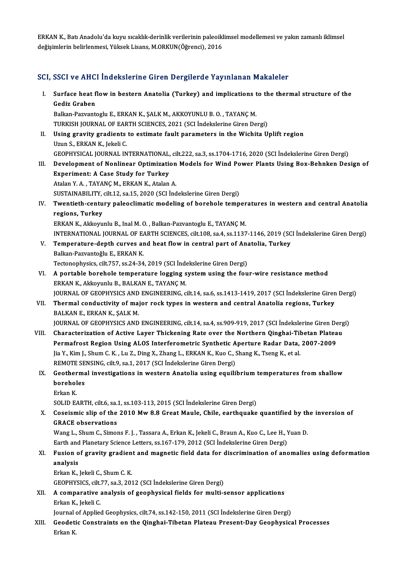ERKAN K., Batı Anadolu'da kuyu sıcaklık-derinlik verilerinin paleoiklimsel modellemesi ve yakın zamanlı iklimsel değişimlerin belirlenmesi, Yüksek Lisans, M.ORKUN(Öğrenci), 2016

## SCI, SSCI ve AHCI İndekslerine Giren Dergilerde Yayınlanan Makaleler

CI, SSCI ve AHCI İndekslerine Giren Dergilerde Yayınlanan Makaleler<br>I. Surface heat flow in bestern Anatolia (Turkey) and implications to the thermal structure of the<br>Codiz Craban BBB1 ve 11118.<br>Surface heat f<br>Gediz Graben<br>Balkan Bawants Surface heat flow in bestern Anatolia (Turkey) and implications t<br>Gediz Graben<br>Balkan-Pazvantoglu E., ERKAN K., ŞALK M., AKKOYUNLU B. O. , TAYANÇ M.<br>TURKISH JOURNAL OF FARTH SCIENCES 2021 (SCL Indekskrine Giren De Gediz Graben<br>Balkan-Pazvantoglu E., ERKAN K., ŞALK M., AKKOYUNLU B. O. , TAYANÇ M.<br>TURKISH JOURNAL OF EARTH SCIENCES, 2021 (SCI İndekslerine Giren Dergi) II. Using gravity gradients to estimate fault parameters in the Wichita Uplift region Uzun S., ERKAN K., Jekeli C. Using gravity gradients to estimate fault parameters in the Wichita Uplift region<br>Uzun S., ERKAN K., Jekeli C.<br>GEOPHYSICAL JOURNAL INTERNATIONAL, cilt.222, sa.3, ss.1704-1716, 2020 (SCI İndekslerine Giren Dergi)<br>Develenmen Uzun S., ERKAN K., Jekeli C.<br>GEOPHYSICAL JOURNAL INTERNATIONAL, cilt.222, sa.3, ss.1704-1716, 2020 (SCI İndekslerine Giren Dergi)<br>III. Development of Nonlinear Optimization Models for Wind Power Plants Using Box-Behnke GEOPHYSICAL JOURNAL INTERNATIONAL,<br>Development of Nonlinear Optimization<br>Experiment: A Case Study for Turkey Development of Nonlinear Optimization<br>Experiment: A Case Study for Turkey<br>Atalan Y. A., TAYANÇ M., ERKAN K., Atalan A.<br>SUSTANAPU ITV silt 12, 2015, 2020 (SCL ind Experiment: A Case Study for Turkey<br>Atalan Y. A. , TAYANÇ M., ERKAN K., Atalan A.<br>SUSTAINABILITY, cilt.12, sa.15, 2020 (SCI İndekslerine Giren Dergi) Atalan Y. A. , TAYANÇ M., ERKAN K., Atalan A.<br>SUSTAINABILITY, cilt.12, sa.15, 2020 (SCI İndekslerine Giren Dergi)<br>IV. Twentieth-century paleoclimatic modeling of borehole temperatures in western and central Anatolia<br>Re **SUSTAINABILITY,<br>Twentieth-centu<br>regions, Turkey<br>EDKAN K. Aldrouw** Twentieth-century paleoclimatic modeling of borehole temper<br>regions, Turkey<br>ERKAN K., Akkoyunlu B., Inal M. O. , Balkan-Pazvantoglu E., TAYANÇ M.<br>INTERNATIONAL JOURNAL OF FARTH SCIENCES, silt 109, sa 4, ss 1137 regions, Turkey<br>ERKAN K., Akkoyunlu B., Inal M. O. , Balkan-Pazvantoglu E., TAYANÇ M.<br>INTERNATIONAL JOURNAL OF EARTH SCIENCES, cilt.108, sa.4, ss.1137-1146, 2019 (SCI İndekslerine Giren Dergi) V. Temperature-depth curves and heat flowin central part of Anatolia, Turkey Balkan-Pazvantoğlu E., ERKAN K. Tectonophysics, cilt.757, ss.24-34, 2019 (SCI İndekslerine Giren Dergi) VI. A portable borehole temperature logging systemusing the four-wire resistancemethod ERKAN K., Akkoyunlu B., BALKAN E., TAYANÇ M. A portable borehole temperature logging system using the four-wire resistance method<br>ERKAN K., Akkoyunlu B., BALKAN E., TAYANÇ M.<br>JOURNAL OF GEOPHYSICS AND ENGINEERING, cilt.14, sa.6, ss.1413-1419, 2017 (SCI İndekslerine G ERKAN K., Akkoyunlu B., BALKAN E., TAYANÇ M.<br>JOURNAL OF GEOPHYSICS AND ENGINEERING, cilt.14, sa.6, ss.1413-1419, 2017 (SCI İndekslerine Giren<br>VII. Thermal conductivity of major rock types in western and central Anatoli VII. Thermal conductivity of major rock types in western and central Anatolia regions, Turkey<br>BALKAN E., ERKAN K., ŞALK M. Thermal conductivity of major rock types in western and central Anatolia regions, Turkey<br>BALKAN E., ERKAN K., ŞALK M.<br>JOURNAL OF GEOPHYSICS AND ENGINEERING, cilt.14, sa.4, ss.909-919, 2017 (SCI İndekslerine Giren Dergi)<br>Ch BALKAN E., ERKAN K., ŞALK M.<br>JOURNAL OF GEOPHYSICS AND ENGINEERING, cilt.14, sa.4, ss.909-919, 2017 (SCI İndekslerine Giren Derg<br>VIII. Characterization of Active Layer Thickening Rate over the Northern Qinghai-Tibetan Plat JOURNAL OF GEOPHYSICS AND ENGINEERING, cilt.14, sa.4, ss.909-919, 2017 (SCI İndekslerine Giren De<br>Characterization of Active Layer Thickening Rate over the Northern Qinghai-Tibetan Platea<br>Permafrost Region Using ALOS Inter VIII. Characterization of Active Layer Thickening Rate over the Northern Qinghai-Tibetan Plateau<br>Permafrost Region Using ALOS Interferometric Synthetic Aperture Radar Data, 2007-2009<br>Jia Y., Kim J., Shum C. K., Lu Z., Ding Permafrost Region Using ALOS Interferometric Synthetic Aperture Radar Data, 2007-2009 Jia Y., Kim J., Shum C. K. , Lu Z., Ding X., Zhang L., ERKAN K., Kuo C., Shang K., Tseng K., et al.<br>REMOTE SENSING, cilt.9, sa.1, 2017 (SCI İndekslerine Giren Dergi)<br>IX. Geothermal investigations in western Anatolia using REMOTE SE<br>Geotherma<br>boreholes<br>Erkan K **Geother**<br>borehol<br>Erkan K.<br>SOLID F boreholes<br>Erkan K.<br>SOLID EARTH, cilt.6, sa.1, ss.103-113, 2015 (SCI İndekslerine Giren Dergi) Erkan K.<br>SOLID EARTH, cilt6, sa.1, ss.103-113, 2015 (SCI Indekslerine Giren Dergi)<br>X. Coseismic slip of the 2010 Mw 8.8 Great Maule, Chile, earthquake quantified by the inversion of<br>CPACE observations SOLID EARTH, ciltó, sa.<br>Coseismic slip of the<br>GRACE observations<br>Wang L. Shum C. Simol Coseismic slip of the 2010 Mw 8.8 Great Maule, Chile, earthquake quantified by th<br>GRACE observations<br>Wang L., Shum C., Simons F. J. , Tassara A., Erkan K., Jekeli C., Braun A., Kuo C., Lee H., Yuan D.<br>Farth and Blanstary S GRACE observations<br>Wang L., Shum C., Simons F. J. , Tassara A., Erkan K., Jekeli C., Braun A., Kuo C., Lee H., Yuan D. Wang L., Shum C., Simons F. J. , Tassara A., Erkan K., Jekeli C., Braun A., Kuo C., Lee H., Yuan D.<br>Earth and Planetary Science Letters, ss.167-179, 2012 (SCI İndekslerine Giren Dergi)<br>XI. Fusion of gravity gradient and ma Earth and Planetary Science Letters, ss.167-179, 2012 (SCI İndekslerine Giren Dergi)<br>Fusion of gravity gradient and magnetic field data for discrimination of and<br>analysis<br>Erkan K., Jekeli C., Shum C. K. Fusion of gravity gradien<br>analysis<br>Erkan K., Jekeli C., Shum C. K.<br>CEOPHYSICS silt 77, 22, 2, 201 GEOPHYSICS, cilt.77, sa.3, 2012 (SCI İndekslerine Giren Dergi) Erkan K., Jekeli C., Shum C. K.<br>GEOPHYSICS, cilt.77, sa.3, 2012 (SCI İndekslerine Giren Dergi)<br>XII. A comparative analysis of geophysical fields for multi-sensor applications<br>Frign K. Jokeli C. GEOPHYSICS, cilt.<br>A comparative<br>Erkan K., Jekeli C.<br>Journal of Annlies A comparative analysis of geophysical fields for multi-sensor applications<br>Erkan K., Jekeli C.<br>Journal of Applied Geophysics, cilt.74, ss.142-150, 2011 (SCI İndekslerine Giren Dergi)<br>Ceodetis Constraints on the Qinghai Tib Erkan K., Jekeli C.<br>Journal of Applied Geophysics, cilt.74, ss.142-150, 2011 (SCI Indekslerine Giren Dergi)<br>XIII. Geodetic Constraints on the Qinghai-Tibetan Plateau Present-Day Geophysical Processes<br>Erkan K. Journal<br><mark>Geodeti</mark><br>Erkan K.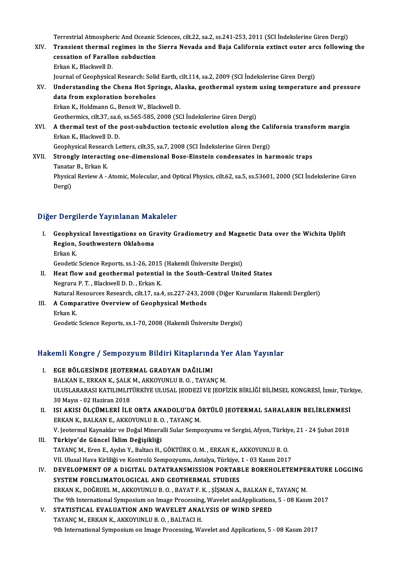Terrestrial Atmospheric And Oceanic Sciences, cilt.22, sa.2, ss.241-253, 2011 (SCI İndekslerine Giren Dergi)<br>Transient thermal regimes in the Sierre Nevede and Peis Celifornia evtinst euter area followin

- Terrestrial Atmospheric And Oceanic Sciences, cilt.22, sa.2, ss.241-253, 2011 (SCI İndekslerine Giren Dergi)<br>XIV. Transient thermal regimes in the Sierra Nevada and Baja California extinct outer arcs following the Terrestrial Atmospheric And Oceanic :<br>Transient thermal regimes in the<br>cessation of Farallon subduction<br>Frican K. Plaskwell D. Transient thermal regimes in the Sierra Nevada and Baja California extinct outer arcs following the cessation of Farallon subduction<br>Erkan K., Blackwell D. cessation of Farallon subduction<br>Erkan K., Blackwell D.<br>Journal of Geophysical Research: Solid Earth, cilt.114, sa.2, 2009 (SCI İndekslerine Giren Dergi)<br>Understanding the Chana Het Springs, Alaska, geothermal system using Erkan K., Blackwell D.<br>Journal of Geophysical Research: Solid Earth, cilt.114, sa.2, 2009 (SCI İndekslerine Giren Dergi)<br>XV. Understanding the Chena Hot Springs, Alaska, geothermal system using temperature and pressure
- Journal of Geophysical Research: Solid<br>Understanding the Chena Hot Spr<br>data from exploration boreholes<br>Erkan K. Holdmann C. Boneit W. Pla Understanding the Chena Hot Springs, Al<br>data from exploration boreholes<br>Erkan K., Holdmann G., Benoit W., Blackwell D.<br>Coathermics silt 27, sa 6, ss 565, 595, 2009, ss data from exploration boreholes<br>Erkan K., Holdmann G., Benoit W., Blackwell D.<br>Geothermics, cilt.37, sa.6, ss.565-585, 2008 (SCI İndekslerine Giren Dergi) Erkan K., Holdmann G., Benoit W., Blackwell D.<br>Geothermics, cilt.37, sa.6, ss.565-585, 2008 (SCI İndekslerine Giren Dergi)<br>XVI. A thermal test of the post-subduction tectonic evolution along the California transform margin
- Geothermics, cilt.37, sa.6<br>A thermal test of the<br>Erkan K., Blackwell D. D.<br>Coophysical Besearch Le A thermal test of the post-subduction tectonic evolution along the Cal<br>Erkan K., Blackwell D. D.<br>Geophysical Research Letters, cilt.35, sa.7, 2008 (SCI İndekslerine Giren Dergi)<br>Strongly interacting one dimensional Bose Fi Erkan K., Blackwell D. D.<br>Geophysical Research Letters, cilt.35, sa.7, 2008 (SCI indekslerine Giren Dergi)<br>XVII. Strongly interacting one-dimensional Bose-Einstein condensates in harmonic traps<br>Tenster B. Erken K.
- Geophysical Researd<br>**Strongly interacti**<br>Tanatar B., Erkan K.<br>Physical Paviou A. Strongly interacting one-dimensional Bose-Einstein condensates in harmonic traps<br>Tanatar B., Erkan K.<br>Physical Review A - Atomic, Molecular, and Optical Physics, cilt.62, sa.5, ss.53601, 2000 (SCI İndekslerine Giren<br>Dorgi) Tanata:<br>Physica<br>Dergi)

## Dergi)<br>Diğer Dergilerde Yayınlanan Makaleler

- Iger Dergilerde Yayınlanan Makaleler<br>I. Geophysical Investigations on Gravity Gradiometry and Magnetic Data over the Wichita Uplift<br>Region, Southwestern Oklahoma Region as Augustian Pram<br>Geophysical Investigations on Gr<br>Region, Southwestern Oklahoma<br>Frkan K Geophy:<br>Region,<br>Erkan K. Region, Southwestern Oklahoma<br>Erkan K.<br>Geodetic Science Reports, ss.1-26, 2015 (Hakemli Üniversite Dergisi) Erkan K.<br>Geodetic Science Reports, ss.1-26, 2015 (Hakemli Üniversite Dergisi)<br>II. Heat flow and geothermal potential in the South-Central United States<br>Negrory B.T. Plackwell D.D. Erken K.
- Geodetic Science Reports, ss.1-26, 2015<br>Heat flow and geothermal potentia<br>Negraru P. T. , Blackwell D. D. , Erkan K.<br>Netural Besources Besearsh, silt 17, ss.4 Heat flow and geothermal potential in the South-Central United States<br>Negraru P. T. , Blackwell D. D. , Erkan K.<br>Natural Resources Research, cilt.17, sa.4, ss.227-243, 2008 (Diğer Kurumların Hakemli Dergileri)<br>A Componativ Negraru P. T. , Blackwell D. D. , Erkan K.<br>Natural Resources Research, cilt.17, sa.4, ss.227-243, 20<br>III. A Comparative Overview of Geophysical Methods
- Natural I<br>**A Comp**<br>Erkan K.<br>Geodatio III. A Comparative Overview of Geophysical Methods<br>Erkan K.<br>Geodetic Science Reports, ss.1-70, 2008 (Hakemli Üniversite Dergisi)

# Geodeuc Science Reports, ss.1-70, 2008 (Hakemii Universite Dergisi)<br>Hakemli Kongre / Sempozyum Bildiri Kitaplarında Yer Alan Yayınlar

- akemli Kongre / Sempozyum Bildiri Kitaplarınd<br>I. EGE BÖLGESİNDE JEOTERMAL GRADYAN DAĞILIMI<br>PALKANE ERKANK SALKM AKKOYINLUR OLTAYAN I. EGE BÖLGESİNDE JEOTERMAL GRADYAN DAĞILIMI<br>BALKAN E., ERKAN K., ŞALK M., AKKOYUNLU B. O. , TAYANÇ M. EGE BÖLGESİNDE JEOTERMAL GRADYAN DAĞILIMI<br>BALKAN E., ERKAN K., ŞALK M., AKKOYUNLU B. O. , TAYANÇ M.<br>ULUSLARARASI KATILIMLITÜRKİYE ULUSAL JEODEZİ VE JEOFİZİK BİRLİĞİ BİLİMSEL KONGRESİ, İzmir, Türkiye,<br>20 Mayıc. 02 Haritan 2 BALKAN E., ERKAN K., ŞALK<br>ULUSLARARASI KATILIMLIT<br>30 Mayıs - 02 Haziran 2018<br>ISL AKISL ÖL CÜMLERLİ ILE ULUSLARARASI KATILIMLITÜRKİYE ULUSAL JEODEZİ VE JEOFİZİK BİRLİĞİ BİLİMSEL KONGRESİ, İzmir, Türk<br>30 Mayıs - 02 Haziran 2018<br>II. ISI AKISI ÖLÇÜMLERİ İLE ORTA ANADOLU'DA ÖRTÜLÜ JEOTERMAL SAHALARIN BELİRLENMESİ<br>ERKAN K. BALKAN
- 30 Mayıs 02 Haziran 2018<br>ISI AKISI ÖLÇÜMLERİ İLE ORTA ANADOLU'DA Ö<br>ERKAN K., BALKAN E., AKKOYUNLU B. O. , TAYANÇ M.<br>V. Jestermal Kaynaklar ve Değal Mineralli Sular Somne ISI AKISI ÖLÇÜMLERİ İLE ORTA ANADOLU'DA ÖRTÜLÜ JEOTERMAL SAHALARIN BELİRLENMESİ<br>ERKAN K., BALKAN E., AKKOYUNLU B. O. , TAYANÇ M.<br>V. Jeotermal Kaynaklar ve Doğal Mineralli Sular Sempozyumu ve Sergisi, Afyon, Türkiye, 21 - 2 ERKAN K., BALKAN E., AKKOYUNLU B. O. , TAYANÇ M.<br>V. Jeotermal Kaynaklar ve Doğal Mineralli Sular Sempo<br>III. **Türkiye'de Güncel İklim Değişikliği** V. Jeotermal Kaynaklar ve Doğal Mineralli Sular Sempozyumu ve Sergisi, Afyon, Türkiye, 21 - 24 Şubat 2018
- TAYANÇ M., Eren E., Aydın Y., Baltacı H., GÖKTÜRK O. M., ERKAN K., AKKOYUNLU B. O. VII. Ulusal Hava Kirliliği ve Kontrolü Sempozyumu, Antalya, Türkiye, 1 - 03 Kasım 2017
- IV. DEVELOPMENT OF A DIGITAL DATATRANSMISSION PORTABLE BOREHOLETEMPERATURE LOGGING ERKAN K., DOĞRUEL M., AKKOYUNLU B. O., BAYAT F. K., ŞİŞMAN A., BALKAN E., TAYANÇM. The 9th International Symposium on Image Processing, Wavelet and Applications, 5 - 08 Kasım 2017
- V. STATISTICAL EVALUATION AND WAVELET ANALYSIS OF WIND SPEED TAYANÇM., ERKAN K., AKKOYUNLU B.O., BALTACI H. 9th International Symposium on Image Processing, Wavelet and Applications, 5 - 08 Kasım 2017